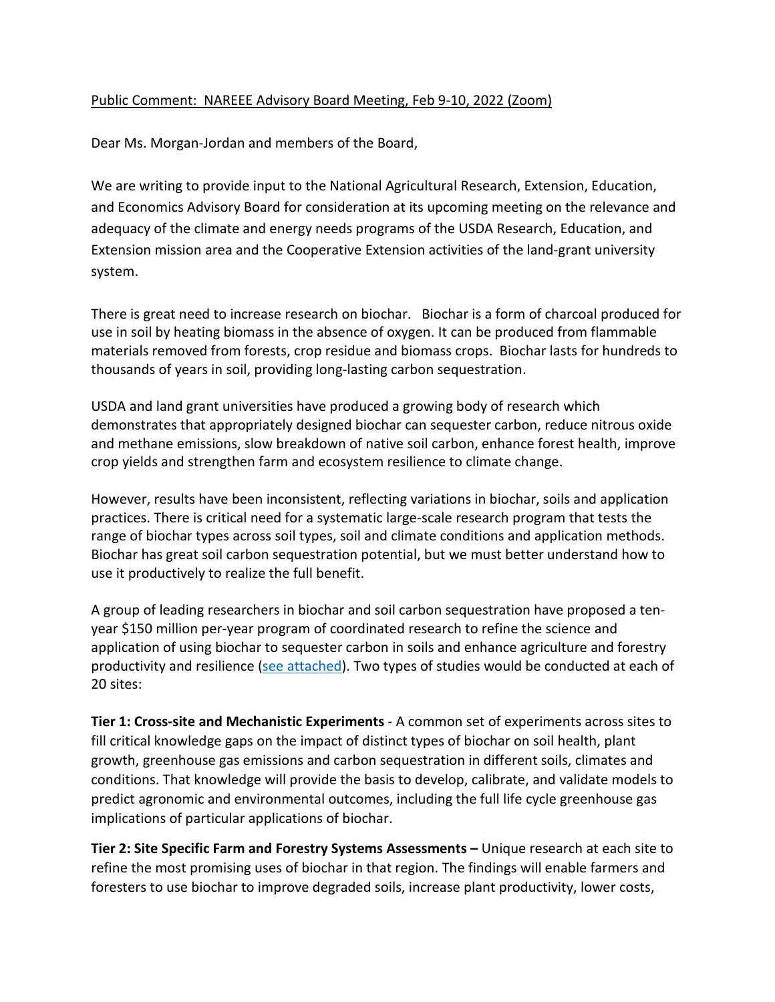## Public Comment: NAREEE Advisory Board Meeting, Feb 9-10, 2022 (Zoom)

Dear Ms. Morgan-Jordan and members of the Board,

We are writing to provide input to the National Agricultural Research, Extension, Education, and Economics Advisory Board for consideration at its upcoming meeting on the relevance and adequacy of the climate and energy needs programs of the USDA Research, Education, and Extension mission area and the Cooperative Extension activities of the land-grant university system.

There is great need to increase research on biochar. Biochar is a form of charcoal produced for use in soil by heating biomass in the absence of oxygen. It can be produced from flammable materials removed from forests, crop residue and biomass crops. Biochar lasts for hundreds to thousands of years in soil, providing long-lasting carbon sequestration.

USDA and land grant universities have produced a growing body of research which demonstrates that appropriately designed biochar can sequester carbon, reduce nitrous oxide and methane emissions, slow breakdown of native soil carbon, enhance forest health, improve crop yields and strengthen farm and ecosystem resilience to climate change.

However, results have been inconsistent, reflecting variations in biochar, soils and application practices. There is critical need for a systematic large-scale research program that tests the range of biochar types across soil types, soil and climate conditions and application methods. Biochar has great soil carbon sequestration potential, but we must better understand how to use it productively to realize the full benefit.

A group of leading researchers in biochar and soil carbon sequestration have proposed a tenyear \$150 million per-year program of coordinated research to refine the science and application of using biochar to sequester carbon in soils and enhance agriculture and forestry productivity and resilience [\(see attached\)](https://doi.org/10.2489/jswc.2021.1115A). Two types of studies would be conducted at each of 20 sites:

**Tier 1: Cross-site and Mechanistic Experiments** - A common set of experiments across sites to fill critical knowledge gaps on the impact of distinct types of biochar on soil health, plant growth, greenhouse gas emissions and carbon sequestration in different soils, climates and conditions. That knowledge will provide the basis to develop, calibrate, and validate models to predict agronomic and environmental outcomes, including the full life cycle greenhouse gas implications of particular applications of biochar.

**Tier 2: Site Specific Farm and Forestry Systems Assessments –** Unique research at each site to refine the most promising uses of biochar in that region. The findings will enable farmers and foresters to use biochar to improve degraded soils, increase plant productivity, lower costs,